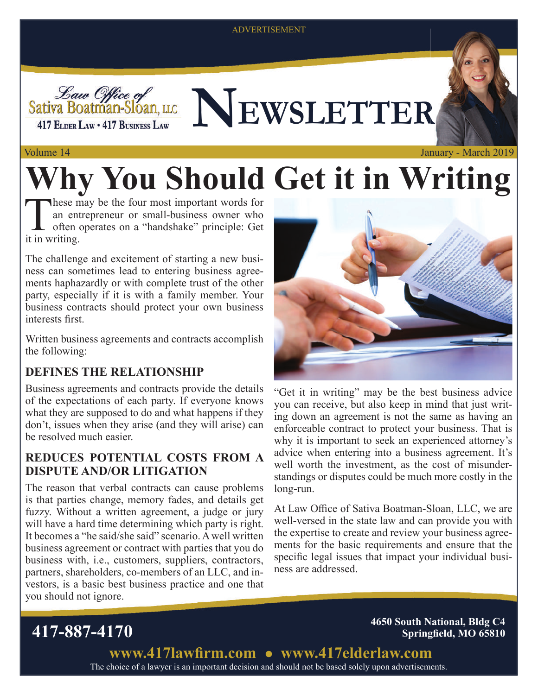#### ADVERTISEMENT



Sativa Boatman-Sloan, LLCCC NEWSLETTER

#### Volume 14

# **Why You Should Get it in Writing**

These may be the four most important words for<br>an entrepreneur or small-business owner who<br>often operates on a "handshake" principle: Get<br>it in writing an entrepreneur or small-business owner who often operates on a "handshake" principle: Get it in writing.

The challenge and excitement of starting a new business can sometimes lead to entering business agreements haphazardly or with complete trust of the other party, especially if it is with a family member. Your business contracts should protect your own business interests first.

Written business agreements and contracts accomplish the following:

#### **DEFINES THE RELATIONSHIP**

Business agreements and contracts provide the details of the expectations of each party. If everyone knows what they are supposed to do and what happens if they don't, issues when they arise (and they will arise) can be resolved much easier.

#### **REDUCES POTENTIAL COSTS FROM A DISPUTE AND/OR LITIGATION**

The reason that verbal contracts can cause problems is that parties change, memory fades, and details get fuzzy. Without a written agreement, a judge or jury will have a hard time determining which party is right. It becomes a "he said/she said" scenario. A well written business agreement or contract with parties that you do business with, i.e., customers, suppliers, contractors, partners, shareholders, co-members of an LLC, and investors, is a basic best business practice and one that you should not ignore.



January - March 2019

"Get it in writing" may be the best business advice you can receive, but also keep in mind that just writing down an agreement is not the same as having an enforceable contract to protect your business. That is why it is important to seek an experienced attorney's advice when entering into a business agreement. It's well worth the investment, as the cost of misunderstandings or disputes could be much more costly in the long-run.

At Law Office of Sativa Boatman-Sloan, LLC, we are well-versed in the state law and can provide you with the expertise to create and review your business agreements for the basic requirements and ensure that the specific legal issues that impact your individual business are addressed.

**417-887-4170 4650 South National, Bldg C4 Springfield, MO 65810** 

> The choice of a lawyer is an important decision and should not be based solely upon advertisements. www.417lawfirm.com • www.417elderlaw.com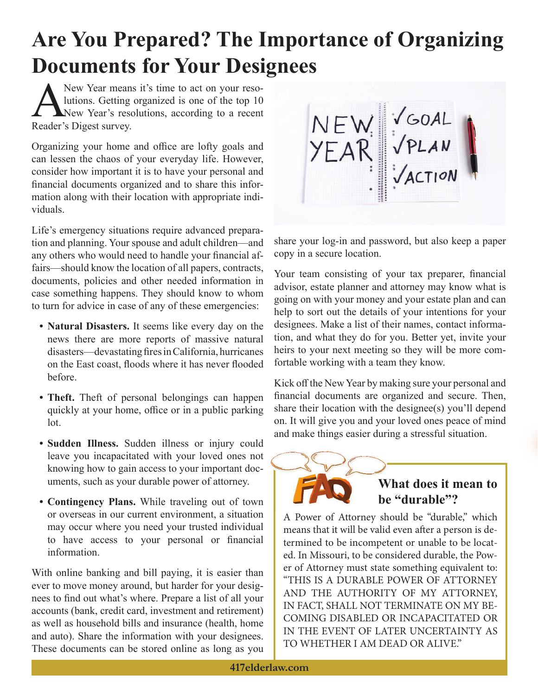### **Are You Prepared? The Importance of Organizing Documents for Your Designees**

New Year means it's time to act on your reso-<br>lutions. Getting organized is one of the top 10<br>New Year's resolutions, according to a recent lutions. Getting organized is one of the top 10 New Year's resolutions, according to a recent Reader's Digest survey.

Organizing your home and office are lofty goals and can lessen the chaos of your everyday life. However, consider how important it is to have your personal and financial documents organized and to share this information along with their location with appropriate individuals.

Life's emergency situations require advanced preparation and planning. Your spouse and adult children—and any others who would need to handle your financial affairs—should know the location of all papers, contracts, documents, policies and other needed information in case something happens. They should know to whom to turn for advice in case of any of these emergencies:

- **Natural Disasters.** It seems like every day on the news there are more reports of massive natural disasters—devastating fires in California, hurricanes on the East coast, floods where it has never flooded before.
- **Theft.** Theft of personal belongings can happen quickly at your home, office or in a public parking lot.
- **Sudden Illness.** Sudden illness or injury could leave you incapacitated with your loved ones not knowing how to gain access to your important documents, such as your durable power of attorney.
- **Contingency Plans.** While traveling out of town or overseas in our current environment, a situation may occur where you need your trusted individual to have access to your personal or financial information.

With online banking and bill paying, it is easier than ever to move money around, but harder for your designees to find out what's where. Prepare a list of all your accounts (bank, credit card, investment and retirement) as well as household bills and insurance (health, home and auto). Share the information with your designees. These documents can be stored online as long as you

NEW VGOAL<br>YEAR VPLAN<br>WEAR VACTION

share your log-in and password, but also keep a paper copy in a secure location.

Your team consisting of your tax preparer, financial advisor, estate planner and attorney may know what is going on with your money and your estate plan and can help to sort out the details of your intentions for your designees. Make a list of their names, contact information, and what they do for you. Better yet, invite your heirs to your next meeting so they will be more comfortable working with a team they know.

Kick off the New Year by making sure your personal and financial documents are organized and secure. Then, share their location with the designee(s) you'll depend on. It will give you and your loved ones peace of mind and make things easier during a stressful situation.



### **What does it mean to W be "durable"? be**

A Power of Attorney should be "durable," which means that it will be valid even after a person is determined to be incompetent or unable to be located. In Missouri, to be considered durable, the Power of Attorney must state something equivalent to: "THIS IS A DURABLE POWER OF ATTORNEY AND THE AUTHORITY OF MY ATTORNEY, IN FACT, SHALL NOT TERMINATE ON MY BE-COMING DISABLED OR INCAPACITATED OR IN THE EVENT OF LATER UNCERTAINTY AS TO WHETHER I AM DEAD OR ALIVE."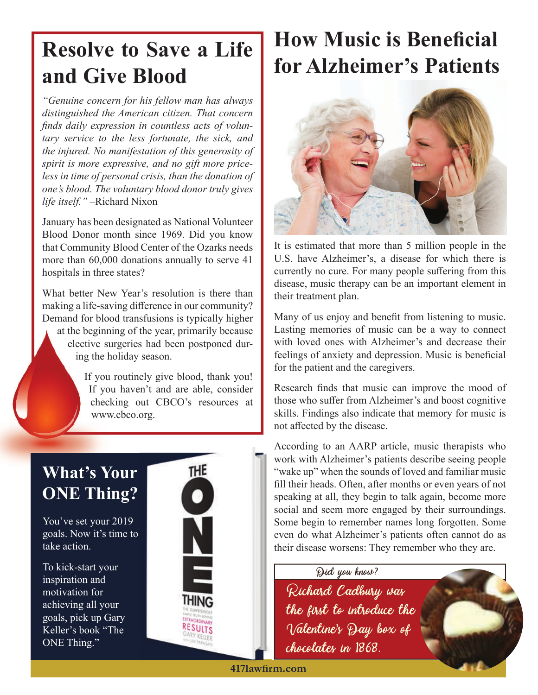### **Resolve to Save a Life and Give Blood**

*"Genuine concern for his fellow man has always distinguished the American citizen. That concern*  finds daily expression in countless acts of volun*tary service to the less fortunate, the sick, and the injured. No manifestation of this generosity of spirit is more expressive, and no gift more priceless in time of personal crisis, than the donation of one's blood. The voluntary blood donor truly gives life itself."* –Richard Nixon

January has been designated as National Volunteer Blood Donor month since 1969. Did you know that Community Blood Center of the Ozarks needs more than 60,000 donations annually to serve 41 hospitals in three states?

What better New Year's resolution is there than making a life-saving difference in our community? Demand for blood transfusions is typically higher at the beginning of the year, primarily because at the beginn elective surgeries had been postponed during the holiday season. h

> If you routinely give blood, thank you! If you haven't and are able, consider checking out CBCO's resources at www.cbco.org. www

### **What's Your ONE Thing?**

You've set your 2019 goals. Now it's time to take action.

To kick-start your inspiration and motivation for achieving all your goals, pick up Gary Keller's book "The ONE Thing."



## **How Music is Beneficial for Alzheimer's Patients**



It is estimated that more than 5 million people in the U.S. have Alzheimer's, a disease for which there is currently no cure. For many people suffering from this disease, music therapy can be an important element in their treatment plan.

Many of us enjoy and benefit from listening to music. Lasting memories of music can be a way to connect with loved ones with Alzheimer's and decrease their feelings of anxiety and depression. Music is beneficial for the patient and the caregivers.

Research finds that music can improve the mood of those who suffer from Alzheimer's and boost cognitive skills. Findings also indicate that memory for music is not affected by the disease.

According to an AARP article, music therapists who work with Alzheimer's patients describe seeing people "wake up" when the sounds of loved and familiar music fill their heads. Often, after months or even years of not speaking at all, they begin to talk again, become more social and seem more engaged by their surroundings. Some begin to remember names long forgotten. Some even do what Alzheimer's patients often cannot do as their disease worsens: They remember who they are.

Did you know?

Richard Cadbury was the first to introduce the Valentine's Day box of chocolates in 1868.

**417lawfi rm.com**